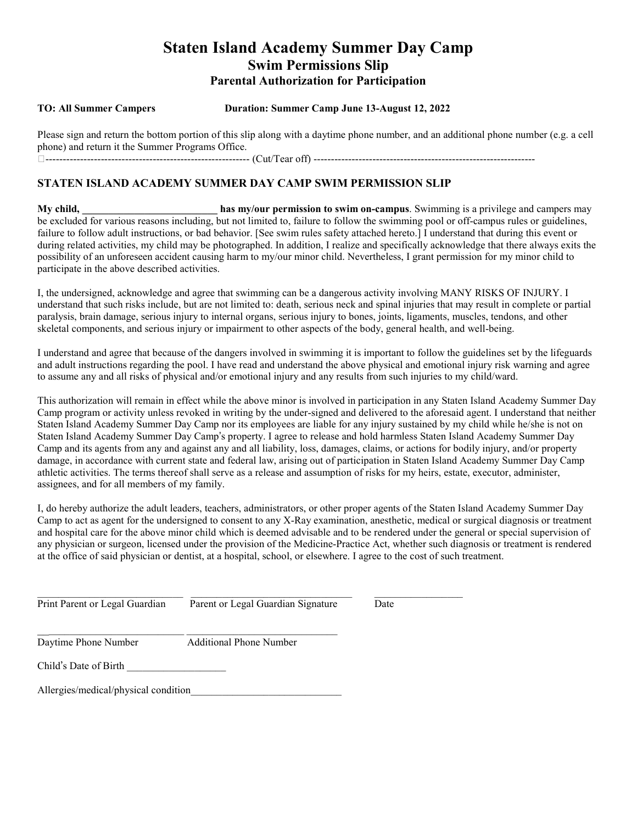## **Staten Island Academy Summer Day Camp Swim Permissions Slip Parental Authorization for Participation**

#### **TO: All Summer Campers Duration: Summer Camp June 13-August 12, 2022**

Please sign and return the bottom portion of this slip along with a daytime phone number, and an additional phone number (e.g. a cell phone) and return it the Summer Programs Office. ----------------------------------------------------------- (Cut/Tear off) ----------------------------------------------------------------

### **STATEN ISLAND ACADEMY SUMMER DAY CAMP SWIM PERMISSION SLIP**

**My child, \_\_\_\_\_\_\_\_\_\_\_\_\_\_\_\_\_\_\_\_\_\_\_\_\_\_ has my/our permission to swim on-campus**. Swimming is a privilege and campers may be excluded for various reasons including, but not limited to, failure to follow the swimming pool or off-campus rules or guidelines, failure to follow adult instructions, or bad behavior. [See swim rules safety attached hereto.] I understand that during this event or during related activities, my child may be photographed. In addition, I realize and specifically acknowledge that there always exits the possibility of an unforeseen accident causing harm to my/our minor child. Nevertheless, I grant permission for my minor child to participate in the above described activities.

I, the undersigned, acknowledge and agree that swimming can be a dangerous activity involving MANY RISKS OF INJURY. I understand that such risks include, but are not limited to: death, serious neck and spinal injuries that may result in complete or partial paralysis, brain damage, serious injury to internal organs, serious injury to bones, joints, ligaments, muscles, tendons, and other skeletal components, and serious injury or impairment to other aspects of the body, general health, and well-being.

I understand and agree that because of the dangers involved in swimming it is important to follow the guidelines set by the lifeguards and adult instructions regarding the pool. I have read and understand the above physical and emotional injury risk warning and agree to assume any and all risks of physical and/or emotional injury and any results from such injuries to my child/ward.

This authorization will remain in effect while the above minor is involved in participation in any Staten Island Academy Summer Day Camp program or activity unless revoked in writing by the under-signed and delivered to the aforesaid agent. I understand that neither Staten Island Academy Summer Day Camp nor its employees are liable for any injury sustained by my child while he/she is not on Staten Island Academy Summer Day Camp's property. I agree to release and hold harmless Staten Island Academy Summer Day Camp and its agents from any and against any and all liability, loss, damages, claims, or actions for bodily injury, and/or property damage, in accordance with current state and federal law, arising out of participation in Staten Island Academy Summer Day Camp athletic activities. The terms thereof shall serve as a release and assumption of risks for my heirs, estate, executor, administer, assignees, and for all members of my family.

I, do hereby authorize the adult leaders, teachers, administrators, or other proper agents of the Staten Island Academy Summer Day Camp to act as agent for the undersigned to consent to any X-Ray examination, anesthetic, medical or surgical diagnosis or treatment and hospital care for the above minor child which is deemed advisable and to be rendered under the general or special supervision of any physician or surgeon, licensed under the provision of the Medicine-Practice Act, whether such diagnosis or treatment is rendered at the office of said physician or dentist, at a hospital, school, or elsewhere. I agree to the cost of such treatment.

| Print Parent or Legal Guardian Parent or Legal Guardian Signature Date |  |
|------------------------------------------------------------------------|--|

 $\frac{1}{2}$  , and the set of the set of the set of the set of the set of the set of the set of the set of the set of the set of the set of the set of the set of the set of the set of the set of the set of the set of the set Daytime Phone Number Additional Phone Number

Child's Date of Birth

Allergies/medical/physical condition